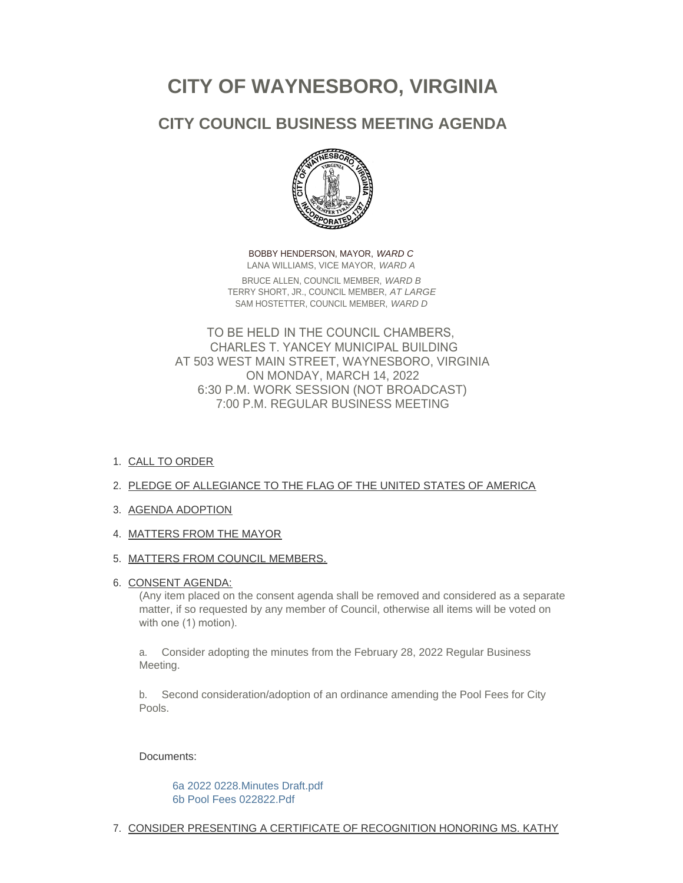# **CITY OF WAYNESBORO, VIRGINIA**

# **CITY COUNCIL BUSINESS MEETING AGENDA**



BOBBY HENDERSON, MAYOR, *WARD C* LANA WILLIAMS, VICE MAYOR, *WARD A* BRUCE ALLEN, COUNCIL MEMBER, *WARD B* TERRY SHORT, JR., COUNCIL MEMBER, *AT LARGE* SAM HOSTETTER, COUNCIL MEMBER, *WARD D*

TO BE HELD IN THE COUNCIL CHAMBERS, CHARLES T. YANCEY MUNICIPAL BUILDING AT 503 WEST MAIN STREET, WAYNESBORO, VIRGINIA ON MONDAY, MARCH 14, 2022 6:30 P.M. WORK SESSION (NOT BROADCAST) 7:00 P.M. REGULAR BUSINESS MEETING

1. <u>CALL TO ORDER</u>

# 2. PLEDGE OF ALLEGIANCE TO THE FLAG OF THE UNITED STATES OF AMERICA

- 3. AGENDA ADOPTION
- 4. MATTERS FROM THE MAYOR

## 5. <u>MATTERS FROM COUNCIL MEMBERS.</u>

## 6. <u>CONSENT AGENDA:</u>

(Any item placed on the consent agenda shall be removed and considered as a separate matter, if so requested by any member of Council, otherwise all items will be voted on with one (1) motion).

a. Consider adopting the minutes from the February 28, 2022 Regular Business Meeting.

b. Second consideration/adoption of an ordinance amending the Pool Fees for City Pools.

## Documents:

[6a 2022 0228.Minutes Draft.pdf](https://www.waynesboro.va.us/AgendaCenter/ViewFile/Item/4618?fileID=44082) [6b Pool Fees 022822.Pdf](https://www.waynesboro.va.us/AgendaCenter/ViewFile/Item/4618?fileID=44083)

7. CONSIDER PRESENTING A CERTIFICATE OF RECOGNITION HONORING MS. KATHY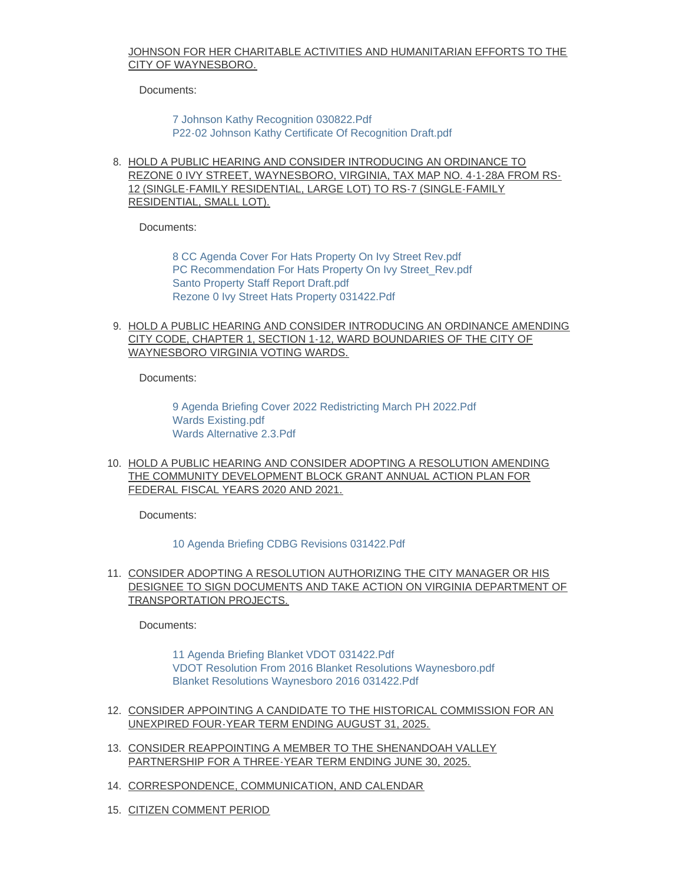#### JOHNSON FOR HER CHARITABLE ACTIVITIES AND HUMANITARIAN EFFORTS TO THE CITY OF WAYNESBORO.

Documents:

[7 Johnson Kathy Recognition 030822.Pdf](https://www.waynesboro.va.us/AgendaCenter/ViewFile/Item/4619?fileID=44084) [P22-02 Johnson Kathy Certificate Of Recognition Draft.pdf](https://www.waynesboro.va.us/AgendaCenter/ViewFile/Item/4619?fileID=44085)

8. HOLD A PUBLIC HEARING AND CONSIDER INTRODUCING AN ORDINANCE TO REZONE 0 IVY STREET, WAYNESBORO, VIRGINIA, TAX MAP NO. 4-1-28A FROM RS-12 (SINGLE-FAMILY RESIDENTIAL, LARGE LOT) TO RS-7 (SINGLE-FAMILY RESIDENTIAL, SMALL LOT).

Documents:

[8 CC Agenda Cover For Hats Property On Ivy Street Rev.pdf](https://www.waynesboro.va.us/AgendaCenter/ViewFile/Item/4620?fileID=44086) [PC Recommendation For Hats Property On Ivy Street\\_Rev.pdf](https://www.waynesboro.va.us/AgendaCenter/ViewFile/Item/4620?fileID=44087) [Santo Property Staff Report Draft.pdf](https://www.waynesboro.va.us/AgendaCenter/ViewFile/Item/4620?fileID=44088) [Rezone 0 Ivy Street Hats Property 031422.Pdf](https://www.waynesboro.va.us/AgendaCenter/ViewFile/Item/4620?fileID=44089)

9. <u>HOLD A PUBLIC HEARING AND CONSIDER INTRODUCING AN ORDINANCE AMENDING</u> CITY CODE, CHAPTER 1, SECTION 1-12, WARD BOUNDARIES OF THE CITY OF WAYNESBORO VIRGINIA VOTING WARDS.

Documents:

[9 Agenda Briefing Cover 2022 Redistricting March PH 2022.Pdf](https://www.waynesboro.va.us/AgendaCenter/ViewFile/Item/4621?fileID=44090) [Wards Existing.pdf](https://www.waynesboro.va.us/AgendaCenter/ViewFile/Item/4621?fileID=44092) [Wards Alternative 2.3.Pdf](https://www.waynesboro.va.us/AgendaCenter/ViewFile/Item/4621?fileID=44091)

10. HOLD A PUBLIC HEARING AND CONSIDER ADOPTING A RESOLUTION AMENDING THE COMMUNITY DEVELOPMENT BLOCK GRANT ANNUAL ACTION PLAN FOR FEDERAL FISCAL YEARS 2020 AND 2021.

Documents:

#### [10 Agenda Briefing CDBG Revisions 031422.Pdf](https://www.waynesboro.va.us/AgendaCenter/ViewFile/Item/4622?fileID=44100)

11. CONSIDER ADOPTING A RESOLUTION AUTHORIZING THE CITY MANAGER OR HIS DESIGNEE TO SIGN DOCUMENTS AND TAKE ACTION ON VIRGINIA DEPARTMENT OF TRANSPORTATION PROJECTS.

Documents:

[11 Agenda Briefing Blanket VDOT 031422.Pdf](https://www.waynesboro.va.us/AgendaCenter/ViewFile/Item/4623?fileID=44094) [VDOT Resolution From 2016 Blanket Resolutions Waynesboro.pdf](https://www.waynesboro.va.us/AgendaCenter/ViewFile/Item/4623?fileID=44096) [Blanket Resolutions Waynesboro 2016 031422.Pdf](https://www.waynesboro.va.us/AgendaCenter/ViewFile/Item/4623?fileID=44095)

- 12. CONSIDER APPOINTING A CANDIDATE TO THE HISTORICAL COMMISSION FOR AN UNEXPIRED FOUR-YEAR TERM ENDING AUGUST 31, 2025.
- 13. CONSIDER REAPPOINTING A MEMBER TO THE SHENANDOAH VALLEY PARTNERSHIP FOR A THREE-YEAR TERM ENDING JUNE 30, 2025.
- 14. CORRESPONDENCE, COMMUNICATION, AND CALENDAR
- 15. CITIZEN COMMENT PERIOD